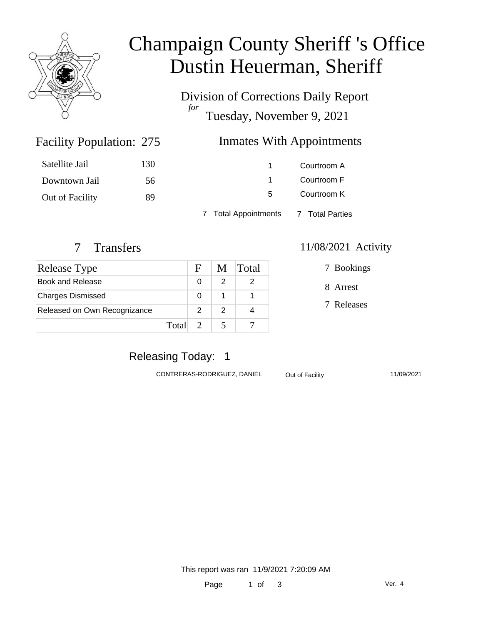

# Champaign County Sheriff 's Office Dustin Heuerman, Sheriff

Division of Corrections Daily Report *for* Tuesday, November 9, 2021

### Facility Population: 275

### **Inmates With Appointments**

| Satellite Jail  | 130 |                                      | Courtroom A |
|-----------------|-----|--------------------------------------|-------------|
| Downtown Jail   | 56  |                                      | Courtroom F |
| Out of Facility | 89  | 5.                                   | Courtroom K |
|                 |     | 7 Total Appointments 7 Total Parties |             |

| <b>Release Type</b>          |       | $\mathbf{F}$                |               | M Total |
|------------------------------|-------|-----------------------------|---------------|---------|
| Book and Release             |       |                             | 2             |         |
| <b>Charges Dismissed</b>     |       | O                           |               |         |
| Released on Own Recognizance |       | 2                           | $\mathcal{P}$ |         |
|                              | Total | $\mathcal{D}_{\mathcal{L}}$ |               |         |

#### 7 Transfers 11/08/2021 Activity

7 Bookings

8 Arrest

7 Releases

### Releasing Today: 1

CONTRERAS-RODRIGUEZ, DANIEL Out of Facility 11/09/2021

This report was ran 11/9/2021 7:20:09 AM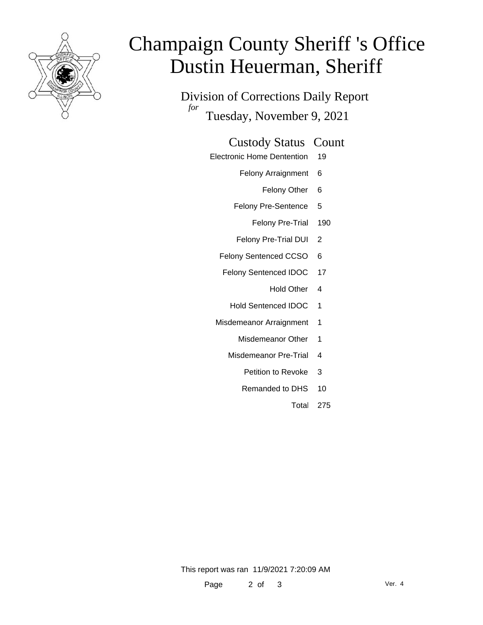

# Champaign County Sheriff 's Office Dustin Heuerman, Sheriff

Division of Corrections Daily Report *for* Tuesday, November 9, 2021

#### Custody Status Count

- Electronic Home Dentention 19
	- Felony Arraignment 6
		- Felony Other 6
	- Felony Pre-Sentence 5
		- Felony Pre-Trial 190
	- Felony Pre-Trial DUI 2
	- Felony Sentenced CCSO 6
	- Felony Sentenced IDOC 17
		- Hold Other 4
		- Hold Sentenced IDOC 1
	- Misdemeanor Arraignment 1
		- Misdemeanor Other 1
		- Misdemeanor Pre-Trial 4
			- Petition to Revoke 3
			- Remanded to DHS 10
				- Total 275